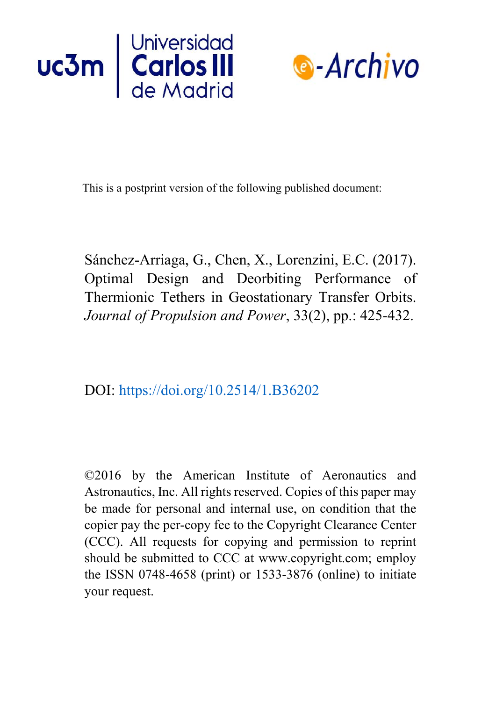



This is a postprint version of the following published document:

Sánchez-Arriaga, G., Chen, X., Lorenzini, E.C. (2017). Optimal Design and Deorbiting Performance of Thermionic Tethers in Geostationary Transfer Orbits. *Journal of Propulsion and Power*, 33(2), pp.: 425-432.

DOI:<https://doi.org/10.2514/1.B36202>

©2016 by the American Institute of Aeronautics and Astronautics, Inc. All rights reserved. Copies of this paper may be made for personal and internal use, on condition that the copier pay the per-copy fee to the Copyright Clearance Center (CCC). All requests for copying and permission to reprint should be submitted to CCC at www.copyright.com; employ the ISSN 0748-4658 (print) or 1533-3876 (online) to initiate your request.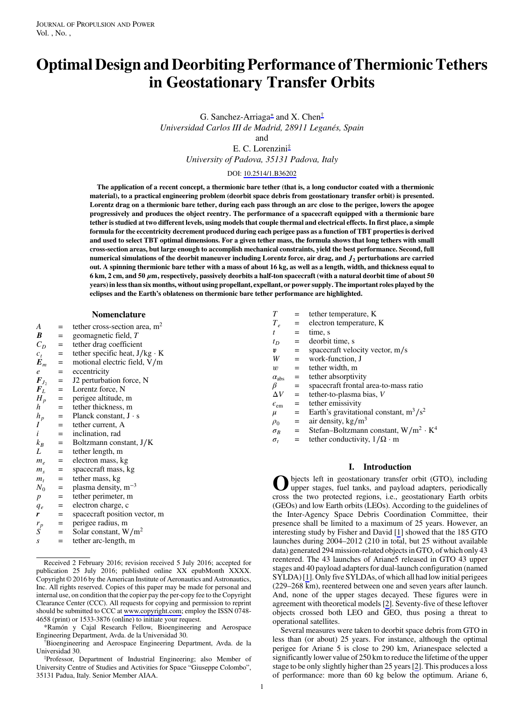# Optimal Design and Deorbiting Performance of Thermionic Tethers in Geostationary Transfer Orbits

G. Sanchez-Arriaga<sup>∗</sup> and X. Chen† Universidad Carlos III de Madrid, 28911 Leganés, Spain

and E. C. Lorenzini‡ University of Padova, 35131 Padova, Italy

#### DOI: [10.2514/1.B36202](http://dx.doi.org/10.2514/1.B36202)

The application of a recent concept, a thermionic bare tether (that is, a long conductor coated with a thermionic material), to a practical engineering problem (deorbit space debris from geostationary transfer orbit) is presented. Lorentz drag on a thermionic bare tether, during each pass through an arc close to the perigee, lowers the apogee progressively and produces the object reentry. The performance of a spacecraft equipped with a thermionic bare tether is studied at two different levels, using models that couple thermal and electrical effects. In first place, a simple formula for the eccentricity decrement produced during each perigee pass as a function of TBT properties is derived and used to select TBT optimal dimensions. For a given tether mass, the formula shows that long tethers with small cross-section areas, but large enough to accomplish mechanical constraints, yield the best performance. Second, full numerical simulations of the deorbit maneuver including Lorentz force, air drag, and  $J_2$  perturbations are carried out. A spinning thermionic bare tether with a mass of about 16 kg, as well as a length, width, and thickness equal to 6 km, 2 cm, and 50  $\mu$ m, respectively, passively deorbits a half-ton spacecraft (with a natural deorbit time of about 50 years) in less than six months, without using propellant, expellant, or power supply. The important roles played by the eclipses and the Earth's oblateness on thermionic bare tether performance are highlighted.

#### Nomenclature

- A = tether cross-section area, m<sup>2</sup><br>  $\boldsymbol{B}$  = geomagnetic field, T
- $\mathbf{B}$  = geomagnetic field, T<br>  $C_D$  = tether drag coefficien
- 
- $C_D$  = tether drag coefficient<br>  $C_t$  = tether specific heat, J/
- $c_t$  = tether specific heat, J/kg · K<br> $E_m$  = motional electric field, V/m  $E_m$  = motional electric field, V/m<br>  $e$  = eccentricity
- 
- $e$  = eccentricity<br> $F_{I_2}$  = J2 perturbat  $F_{J_2}$  = J2 perturbation force, N<br> $F_L$  = Lorentz force, N
- 
- $F_L$  = Lorentz force, N<br> $H_n$  = perigee altitude, 1
- $H_p$  = perigee altitude, m<br>h = tether thickness, m
- $h_{\text{n}}$  = tether thickness, m<br> $h_{\text{n}}$  = Planck constant, J  $h_p$  = Planck constant,  $J \cdot s$ <br> $I =$  tether current A
- $I = \text{tether current, A}$ <br>  $i = \text{inclination, rad}$
- 
- $i =$  inclination, rad<br> $k_B =$  Boltzmann cons  $k_B$  = Boltzmann constant, J/K<br>L = tether length, m
- $L$  = tether length, m<br> $m_e$  = electron mass, k
- $m_e$  = electron mass, kg<br> $m_e$  = spacecraft mass, kg
- $m_s$  = spacecraft mass, kg<br>  $m_t$  = tether mass, kg
- $m_t$  = tether mass, kg<br>  $N_0$  = plasma density,
- $N_0$  = plasma density, m<sup>-3</sup><br>p = tether perimeter, m
- $p$  = tether perimeter, m<br>  $q_e$  = electron charge, c
- $q_e$  = electron charge, c<br>  $\mathbf{r}$  = spacecraft position
- spacecraft position vector, m
- $r_p$  = perigee radius, m<br>S = Solar constant. W
- $\hat{S}$  = Solar constant, W/m<sup>2</sup><br>s = tether arc-length, m
- tether arc-length, m

\*Ramón y Cajal Research Fellow, Bioengineering and Aerospace Engineering Department, Avda. de la Universidad 30. †

Bioengineering and Aerospace Engineering Department, Avda. de la Universidad 30. ‡

Professor, Department of Industrial Engineering; also Member of University Centre of Studies and Activities for Space "Giuseppe Colombo", 35131 Padua, Italy. Senior Member AIAA.

| Т                   |     | tether temperature, K                        |
|---------------------|-----|----------------------------------------------|
| $T_{\rho}$          | $=$ | electron temperature, K                      |
| t                   | $=$ | time. s                                      |
| $t_D$               | $=$ | deorbit time, s                              |
| v                   | $=$ | spacecraft velocity vector, m/s              |
| W                   | $=$ | work-function, J                             |
| w                   | $=$ | tether width, m                              |
| $\alpha_{\rm abs}$  | $=$ | tether absorptivity                          |
| β                   | $=$ | spacecraft frontal area-to-mass ratio        |
| $\Delta V$          | $=$ | tether-to-plasma bias, V                     |
| $\epsilon_{\rm em}$ | $=$ | tether emissivity                            |
| $\mu$               | $=$ | Earth's gravitational constant, $m^3/s^2$    |
| $\rho_0$            | $=$ | air density, $\text{kg/m}^3$                 |
| $\sigma_B$          | $=$ | Stefan-Boltzmann constant, $W/m^2 \cdot K^4$ |
| $\tau$              |     | tether conductivity $1/\Omega$ , m           |

σtherefore the conductivity,  $1/\Omega \cdot m$ 

# I. Introduction

Objects left in geostationary transfer orbit (GTO), including upper stages, fuel tanks, and payload adapters, periodically cross the two protected regions, i.e., geostationary Earth orbits (GEOs) and low Earth orbits (LEOs). According to the guidelines of the Inter-Agency Space Debris Coordination Committee, their presence shall be limited to a maximum of 25 years. However, an interesting study by Fisher and David [\[1\]](#page-8-0) showed that the 185 GTO launches during 2004–2012 (210 in total, but 25 without available data) generated 294 mission-related objects in GTO, of which only 43 reentered. The 43 launches of Ariane5 released in GTO 43 upper stages and 40 payload adapters for dual-launch configuration (named SYLDA) [\[1](#page-8-0)]. Only five SYLDAs, of which all had low initial perigees (229–268 km), reentered between one and seven years after launch. And, none of the upper stages decayed. These figures were in agreement with theoretical models [\[2\]](#page-8-0). Seventy-five of these leftover objects crossed both LEO and GEO, thus posing a threat to operational satellites.

Several measures were taken to deorbit space debris from GTO in less than (or about) 25 years. For instance, although the optimal perigee for Ariane 5 is close to 290 km, Arianespace selected a significantly lower value of 250 km to reduce the lifetime of the upper stage to be only slightly higher than 25 years [\[2](#page-8-0)]. This produces a loss of performance: more than 60 kg below the optimum. Ariane 6,

Received 2 February 2016; revision received 5 July 2016; accepted for publication 25 July 2016; published online XX epubMonth XXXX. Copyright © 2016 by the American Institute of Aeronautics and Astronautics, Inc. All rights reserved. Copies of this paper may be made for personal and internal use, on condition that the copier pay the per-copy fee to the Copyright Clearance Center (CCC). All requests for copying and permission to reprint should be submitted to CCC at [www.copyright.com;](www.copyright.com) employ the ISSN 0748- 4658 (print) or 1533-3876 (online) to initiate your request.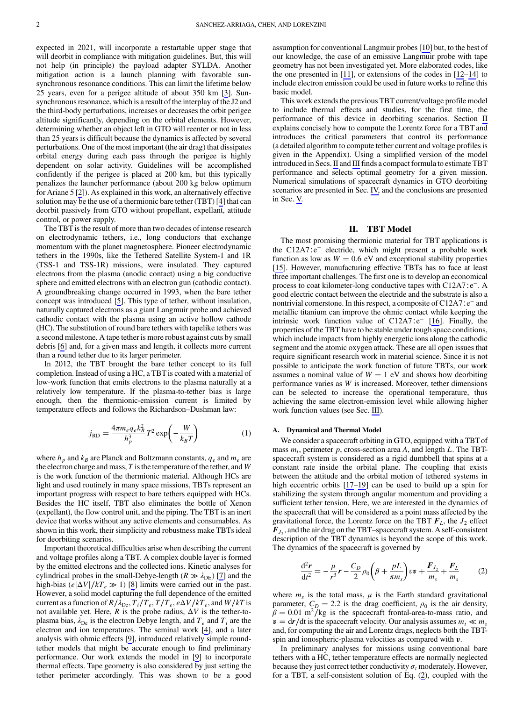<span id="page-2-0"></span>expected in 2021, will incorporate a restartable upper stage that will deorbit in compliance with mitigation guidelines. But, this will not help (in principle) the payload adapter SYLDA. Another mitigation action is a launch planning with favorable sunsynchronous resonance conditions. This can limit the lifetime below 25 years, even for a perigee altitude of about 350 km [\[3\]](#page-8-0). Sunsynchronous resonance, which is a result of the interplay of the J2 and the third-body perturbations, increases or decreases the orbit perigee altitude significantly, depending on the orbital elements. However, determining whether an object left in GTO will reenter or not in less than 25 years is difficult because the dynamics is affected by several perturbations. One of the most important (the air drag) that dissipates orbital energy during each pass through the perigee is highly dependent on solar activity. Guidelines will be accomplished confidently if the perigee is placed at 200 km, but this typically penalizes the launcher performance (about 200 kg below optimum for Ariane 5 [\[2\]](#page-8-0)). As explained in this work, an alternatively effective solution may be the use of a thermionic bare tether (TBT) [\[4\]](#page-8-0) that can deorbit passively from GTO without propellant, expellant, attitude control, or power supply.

The TBT is the result of more than two decades of intense research on electrodynamic tethers, i.e., long conductors that exchange momentum with the planet magnetosphere. Pioneer electrodynamic tethers in the 1990s, like the Tethered Satellite System-1 and 1R (TSS-1 and TSS-1R) missions, were insulated. They captured electrons from the plasma (anodic contact) using a big conductive sphere and emitted electrons with an electron gun (cathodic contact). A groundbreaking change occurred in 1993, when the bare tether concept was introduced [[5](#page-8-0)]. This type of tether, without insulation, naturally captured electrons as a giant Langmuir probe and achieved cathodic contact with the plasma using an active hollow cathode (HC). The substitution of round bare tethers with tapelike tethers was a second milestone. A tape tether is more robust against cuts by small debris [\[6\]](#page-8-0) and, for a given mass and length, it collects more current than a round tether due to its larger perimeter.

In 2012, the TBT brought the bare tether concept to its full completion. Instead of using a HC, a TBT is coated with a material of low-work function that emits electrons to the plasma naturally at a relatively low temperature. If the plasma-to-tether bias is large enough, then the thermionic-emission current is limited by temperature effects and follows the Richardson–Dushman law:

$$
j_{\rm RD} = \frac{4\pi m_e q_e k_B^2}{h_p^3} T^2 \exp\left(-\frac{W}{k_B T}\right) \tag{1}
$$

where  $h_p$  and  $k_B$  are Planck and Boltzmann constants,  $q_e$  and  $m_e$  are the electron charge and mass,  $T$  is the temperature of the tether, and  $W$ is the work function of the thermionic material. Although HCs are light and used routinely in many space missions, TBTs represent an important progress with respect to bare tethers equipped with HCs. Besides the HC itself, TBT also eliminates the bottle of Xenon (expellant), the flow control unit, and the piping. The TBT is an inert device that works without any active elements and consumables. As shown in this work, their simplicity and robustness make TBTs ideal for deorbiting scenarios.

Important theoretical difficulties arise when describing the current and voltage profiles along a TBT. A complex double layer is formed by the emitted electrons and the collected ions. Kinetic analyses for cylindrical probes in the small-Debye-length ( $R \gg \lambda_{DE}$ ) [[7](#page-8-0)] and the high-bias ( $e|\Delta V|/kT_e \gg 1$ ) [\[8\]](#page-8-0) limits were carried out in the past. However, a solid model capturing the full dependence of the emitted current as a function of  $R/\lambda_{\text{De}}$ ,  $T_i/T_e$ ,  $T/T_e$ ,  $e\Delta V/kT_e$ , and  $W/kT$  is not available yet. Here,  $R$  is the probe radius,  $\Delta V$  is the tether-toplasma bias,  $\lambda_{\text{De}}$  is the electron Debye length, and  $T_e$  and  $T_i$  are the electron and ion temperatures. The seminal work [\[4\]](#page-8-0), and a later analysis with ohmic effects [[9](#page-8-0)], introduced relatively simple roundtether models that might be accurate enough to find preliminary performance. Our work extends the model in [[9](#page-8-0)] to incorporate thermal effects. Tape geometry is also considered by just setting the tether perimeter accordingly. This was shown to be a good assumption for conventional Langmuir probes [\[10](#page-8-0)] but, to the best of our knowledge, the case of an emissive Langmuir probe with tape geometry has not been investigated yet. More elaborated codes, like the one presented in [\[11\]](#page-8-0), or extensions of the codes in [\[12](#page-8-0)–[14\]](#page-8-0) to include electron emission could be used in future works to refine this basic model.

This work extends the previous TBT current/voltage profile model to include thermal effects and studies, for the first time, the performance of this device in deorbiting scenarios. Section II explains concisely how to compute the Lorentz force for a TBT and introduces the critical parameters that control its performance (a detailed algorithm to compute tether current and voltage profiles is given in the Appendix). Using a simplified version of the model introduced in Secs. II and [III](#page-4-0) finds a compact formula to estimate TBT performance and selects optimal geometry for a given mission. Numerical simulations of spacecraft dynamics in GTO deorbiting scenarios are presented in Sec. [IV,](#page-5-0) and the conclusions are presented in Sec. [V.](#page-6-0)

## II. TBT Model

The most promising thermionic material for TBT applications is the C12A7∶e<sup>−</sup> electride, which might present a probable work function as low as  $W = 0.6$  eV and exceptional stability properties [\[15](#page-8-0)]. However, manufacturing effective TBTs has to face at least three important challenges. The first one is to develop an economical process to coat kilometer-long conductive tapes with C12A7∶e<sup>−</sup>. A good electric contact between the electride and the substrate is also a nontrivial cornerstone. In this respect, a composite of C12A7∶e<sup>−</sup> and metallic titanium can improve the ohmic contact while keeping the intrinsic work function value of C12A7∶e<sup>−</sup> [[16\]](#page-8-0). Finally, the properties of the TBT have to be stable under tough space conditions, which include impacts from highly energetic ions along the cathodic segment and the atomic oxygen attack. These are all open issues that require significant research work in material science. Since it is not possible to anticipate the work function of future TBTs, our work assumes a nominal value of  $W = 1$  eV and shows how deorbiting performance varies as W is increased. Moreover, tether dimensions can be selected to increase the operational temperature, thus achieving the same electron-emission level while allowing higher work function values (see Sec. [III\)](#page-4-0).

## A. Dynamical and Thermal Model

We consider a spacecraft orbiting in GTO, equipped with a TBT of mass  $m_t$ , perimeter p, cross-section area A, and length L. The TBTspacecraft system is considered as a rigid dumbbell that spins at a constant rate inside the orbital plane. The coupling that exists between the attitude and the orbital motion of tethered systems in high eccentric orbits [\[17](#page-8-0)–[19\]](#page-8-0) can be used to build up a spin for stabilizing the system through angular momentum and providing a sufficient tether tension. Here, we are interested in the dynamics of the spacecraft that will be considered as a point mass affected by the gravitational force, the Lorentz force on the TBT  $F<sub>L</sub>$ , the  $J<sub>2</sub>$  effect  $F_{J_2}$ , and the air drag on the TBT–spacecraft system. A self-consistent description of the TBT dynamics is beyond the scope of this work. The dynamics of the spacecraft is governed by

$$
\frac{\mathrm{d}^2 \boldsymbol{r}}{\mathrm{d}t^2} = -\frac{\mu}{r^3} \boldsymbol{r} - \frac{C_D}{2} \rho_0 \left( \beta + \frac{pL}{\pi m_s} \right) v \boldsymbol{v} + \frac{\boldsymbol{F}_{J_2}}{m_s} + \frac{\boldsymbol{F}_L}{m_s} \tag{2}
$$

where  $m<sub>s</sub>$  is the total mass,  $\mu$  is the Earth standard gravitational parameter,  $C_D = 2.2$  is the drag coefficient,  $\rho_0$  is the air density,  $\beta = 0.01$  m<sup>2</sup>/kg is the spacecraft frontal-area-to-mass ratio, and  $v = dr/dt$  is the spacecraft velocity. Our analysis assumes  $m_t \ll m_s$ and, for computing the air and Lorentz drags, neglects both the TBTspin and ionospheric-plasma velocities as compared with v.

In preliminary analyses for missions using conventional bare tethers with a HC, tether temperature effects are normally neglected because they just correct tether conductivity  $\sigma_t$  moderately. However, for a TBT, a self-consistent solution of Eq. (2), coupled with the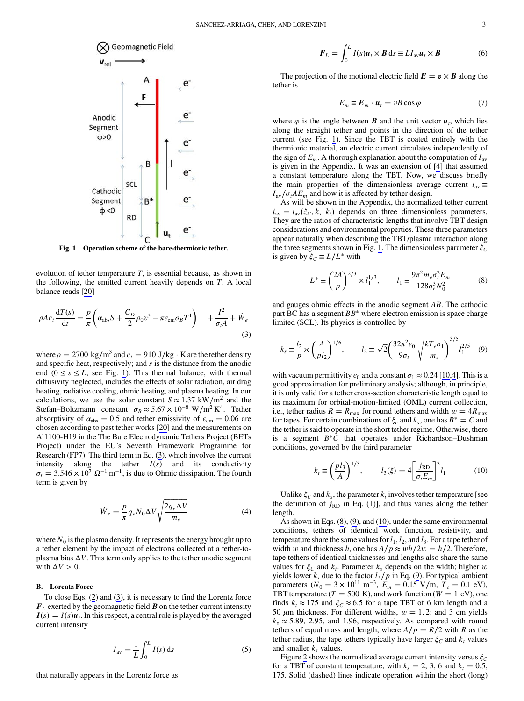<span id="page-3-0"></span>

Fig. 1 Operation scheme of the bare-thermionic tether.

evolution of tether temperature  $T$ , is essential because, as shown in the following, the emitted current heavily depends on  $T$ . A local balance reads [[20\]](#page-8-0)

$$
\rho A c_t \frac{d T(s)}{dt} = \frac{p}{\pi} \left( \alpha_{\text{abs}} S + \frac{C_D}{2} \rho_0 v^3 - \pi \epsilon_{\text{em}} \sigma_B T^4 \right) + \frac{I^2}{\sigma_t A} + \dot{W}_e
$$
\n(3)

where  $\rho = 2700 \text{ kg/m}^3$  and  $c_t = 910 \text{ J/kg} \cdot \text{K}$  are the tether density and specific heat, respectively; and  $s$  is the distance from the anodic end ( $0 \le s \le L$ , see Fig. 1). This thermal balance, with thermal diffusivity neglected, includes the effects of solar radiation, air drag heating, radiative cooling, ohmic heating, and plasma heating. In our calculations, we use the solar constant  $S \approx 1.37 \text{ kW/m}^2$  and the Stefan–Boltzmann constant  $\sigma_B \approx 5.67 \times 10^{-8} \text{ W/m}^2 \text{ K}^4$ . Tether absorptivity of  $\alpha_{\text{abs}} = 0.5$  and tether emissivity of  $\epsilon_{\text{em}} = 0.06$  are chosen according to past tether works [[20\]](#page-8-0) and the measurements on Al1100-H19 in the The Bare Electrodynamic Tethers Project (BETs Project) under the EU's Seventh Framework Programme for Research (FP7). The third term in Eq. (3), which involves the current intensity along the tether  $I(s)$  and its conductivity  $\sigma_t = 3.546 \times 10^7 \Omega^{-1} \text{ m}^{-1}$ , is due to Ohmic dissipation. The fourth term is given by term is given by

$$
\dot{W}_e = \frac{p}{\pi} q_e N_0 \Delta V \sqrt{\frac{2q_e \Delta V}{m_e}} \tag{4}
$$

where  $N_0$  is the plasma density. It represents the energy brought up to a tether element by the impact of electrons collected at a tether-toplasma bias  $\Delta V$ . This term only applies to the tether anodic segment with  $\Delta V > 0$ .

#### B. Lorentz Force

To close Eqs. [\(2\)](#page-2-0) and (3), it is necessary to find the Lorentz force  $F<sub>L</sub>$  exerted by the geomagnetic field **B** on the tether current intensity  $I(s) = I(s)u_t$ . In this respect, a central role is played by the averaged current intensity

$$
I_{\rm av} = \frac{1}{L} \int_0^L I(s) \, \mathrm{d}s \tag{5}
$$

that naturally appears in the Lorentz force as

$$
\boldsymbol{F}_L = \int_0^L I(s)\boldsymbol{u}_t \times \boldsymbol{B} \, \mathrm{d}s \equiv L I_{\mathrm{av}} \boldsymbol{u}_t \times \boldsymbol{B} \tag{6}
$$

The projection of the motional electric field  $E = v \times B$  along the tether is

$$
E_m \equiv E_m \cdot u_t = vB \cos \varphi \tag{7}
$$

where  $\varphi$  is the angle between **B** and the unit vector  $u_t$ , which lies along the straight tether and points in the direction of the tether current (see Fig. 1). Since the TBT is coated entirely with the thermionic material, an electric current circulates independently of the sign of  $E_m$ . A thorough explanation about the computation of  $I_{av}$ is given in the Appendix. It was an extension of [\[4\]](#page-8-0) that assumed a constant temperature along the TBT. Now, we discuss briefly the main properties of the dimensionless average current  $i_{av} \equiv$  $I_{\text{av}}/\sigma_t AE_m$  and how it is affected by tether design.

As will be shown in the Appendix, the normalized tether current  $i_{\text{av}} = i_{\text{av}}(\xi_C, k_s, k_t)$  depends on three dimensionless parameters. They are the ratios of characteristic lengths that involve TBT design considerations and environmental properties. These three parameters appear naturally when describing the TBT/plasma interaction along the three segments shown in Fig. 1. The dimensionless parameter  $\xi_C$ is given by  $\xi_C \equiv L/L^*$  with

$$
L^* \equiv \left(\frac{2A}{p}\right)^{2/3} \times l_1^{1/3}, \qquad l_1 \equiv \frac{9\pi^2 m_e \sigma_t^2 E_m}{128q_e^3 N_0^2} \tag{8}
$$

and gauges ohmic effects in the anodic segment AB. The cathodic part BC has a segment  $BB^*$  where electron emission is space charge limited (SCL). Its physics is controlled by

$$
k_s \equiv \frac{l_2}{p} \times \left(\frac{A}{pl_2}\right)^{1/6}, \qquad l_2 \equiv \sqrt{2} \left(\frac{32\pi^2 \epsilon_0}{9\sigma_t} \sqrt{\frac{kT_e \sigma_1}{m_e}}\right)^{3/5} l_1^{2/5} \quad (9)
$$

with vacuum permittivity  $\epsilon_0$  and a constant  $\sigma_1 \approx 0.24$  $\sigma_1 \approx 0.24$  [\[10](#page-8-0),4]. This is a good approximation for preliminary analysis; although, in principle, it is only valid for a tether cross-section characteristic length equal to its maximum for orbital-motion-limited (OML) current collection, i.e., tether radius  $R = R_{\text{max}}$  for round tethers and width  $w = 4R_{\text{max}}$ for tapes. For certain combinations of  $\xi_c$  and  $k_s$ , one has  $B^* = C$  and the tether is said to operate in the short tether regime. Otherwise, there is a segment  $B^*C$  that operates under Richardson–Dushman conditions, governed by the third parameter

$$
k_t \equiv \left(\frac{pl_3}{A}\right)^{1/3}, \qquad l_3(\xi) = 4 \left[\frac{j_{RD}}{\sigma_t E_m}\right]^3 l_1 \tag{10}
$$

Unlike  $\xi_C$  and  $k_s$ , the parameter  $k_t$  involves tether temperature [see the definition of  $j_{RD}$  in Eq. [\(1\)](#page-2-0)], and thus varies along the tether length.

As shown in Eqs. (8), (9), and (10), under the same environmental conditions, tethers of identical work function, resistivity, and temperature share the same values for  $l_1, l_2$ , and  $l_3$ . For a tape tether of width w and thickness h, one has  $A/p \approx wh/2w = h/2$ . Therefore, tape tethers of identical thicknesses and lengths also share the same values for  $\xi_c$  and  $k_t$ . Parameter  $k_s$  depends on the width; higher w yields lower  $k_s$  due to the factor  $l_2/p$  in Eq. (9). For typical ambient parameters ( $N_0 = 3 \times 10^{11} \text{ m}^{-3}$ ,  $E_m = 0.15 \text{ V/m}$ ,  $T_e = 0.1 \text{ eV}$ ), TBT temperature ( $T = 500$  K), and work function ( $W = 1$  eV), one finds  $k_t \approx 175$  and  $\xi_C \approx 6.5$  for a tape TBT of 6 km length and a 50  $\mu$ m thickness. For different widths,  $w = 1, 2$ ; and 3 cm yields  $k_s \approx 5.89$ , 2.95, and 1.96, respectively. As compared with round tethers of equal mass and length, where  $A/p = R/2$  with R as the tether radius, the tape tethers typically have larger  $\xi_c$  and  $k_t$  values and smaller  $k_s$  values.

Figure [2](#page-4-0) shows the normalized average current intensity versus  $\xi_C$ for a TBT of constant temperature, with  $k_s = 2, 3, 6$  and  $k_t = 0.5$ , 175. Solid (dashed) lines indicate operation within the short (long)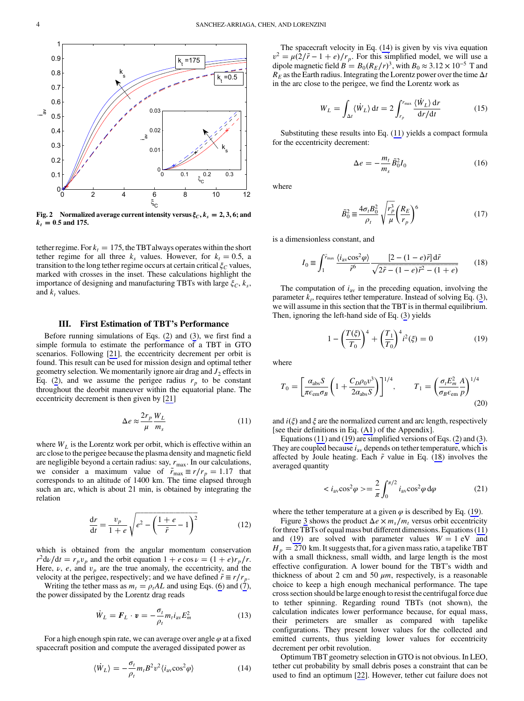<span id="page-4-0"></span>

Fig. 2 Normalized average current intensity versus  $\xi_c$ ,  $k_s = 2, 3, 6$ ; and  $k_t = 0.5$  and 175.

tether regime. For  $k_t = 175$ , the TBT always operates within the short tether regime for all three  $k_s$  values. However, for  $k_t = 0.5$ , a transition to the long tether regime occurs at certain critical  $\xi_c$  values, marked with crosses in the inset. These calculations highlight the importance of designing and manufacturing TBTs with large  $\xi_C$ ,  $k_s$ , and  $k_t$  values.

#### III. First Estimation of TBT's Performance

Before running simulations of Eqs. ([2](#page-2-0)) and ([3](#page-3-0)), we first find a simple formula to estimate the performance of a TBT in GTO scenarios. Following [\[21](#page-8-0)], the eccentricity decrement per orbit is found. This result can be used for mission design and optimal tether geometry selection. We momentarily ignore air drag and  $J_2$  effects in Eq. [\(2\)](#page-2-0), and we assume the perigee radius  $r_p$  to be constant throughout the deorbit maneuver within the equatorial plane. The eccentricity decrement is then given by [[21\]](#page-8-0)

$$
\Delta e \approx \frac{2r_p}{\mu} \frac{W_L}{m_s} \tag{11}
$$

where  $W_L$  is the Lorentz work per orbit, which is effective within an arc close to the perigee because the plasma density and magnetic field are negligible beyond a certain radius: say,  $r_{\text{max}}$ . In our calculations, we consider a maximum value of  $\tilde{r}_{\text{max}} \equiv r/r_p = 1.17$  that corresponds to an altitude of 1400 km. The time elapsed through such an arc, which is about 21 min, is obtained by integrating the relation

$$
\frac{\mathrm{d}r}{\mathrm{d}t} = \frac{v_p}{1+e} \sqrt{e^2 - \left(\frac{1+e}{\tilde{r}} - 1\right)^2} \tag{12}
$$

which is obtained from the angular momentum conservation  $r^2 d\nu/dt = r_p v_p$  and the orbit equation  $1 + e \cos \nu = (1 + e)r_p/r$ . Here,  $\nu$ ,  $e$ , and  $v_p$  are the true anomaly, the eccentricity, and the velocity at the perigee, respectively; and we have defined  $\tilde{r} \equiv r/r_p$ .

Writing the tether mass as  $m_t = \rho_t A L$  and using Eqs. [\(6\)](#page-3-0) and ([7](#page-3-0)), the power dissipated by the Lorentz drag reads

$$
\dot{W}_L = \boldsymbol{F}_L \cdot \boldsymbol{v} = -\frac{\sigma_t}{\rho_t} m_t \boldsymbol{i}_{\text{av}} E_m^2 \tag{13}
$$

For a high enough spin rate, we can average over angle  $\varphi$  at a fixed spacecraft position and compute the averaged dissipated power as

$$
\langle \dot{W}_L \rangle = -\frac{\sigma_t}{\rho_t} m_t B^2 v^2 \langle i_{\rm av} \cos^2 \varphi \rangle \tag{14}
$$

The spacecraft velocity in Eq. (14) is given by vis viva equation  $v^2 = \mu(2/\tilde{r} - 1 + e)/r_p$ . For this simplified model, we will use a dipole magnetic field  $B = B_0(R_E/r)^3$ , with  $B_0 \approx 3.12 \times 10^{-5}$  T and  $R_E$  as the Earth radius. Integrating the Lorentz power over the time  $\Delta t$ in the arc close to the perigee, we find the Lorentz work as

$$
W_L = \int_{\Delta t} \langle \dot{W}_L \rangle \, \mathrm{d}t = 2 \int_{r_p}^{r_{\text{max}}} \frac{\langle \dot{W}_L \rangle \, \mathrm{d}r}{\mathrm{d}r/\mathrm{d}t} \tag{15}
$$

Substituting these results into Eq. (11) yields a compact formula for the eccentricity decrement:

$$
\Delta e = -\frac{m_t}{m_s} \tilde{B}_0^2 I_0 \tag{16}
$$

where

$$
\tilde{B}_0^2 \equiv \frac{4\sigma_t B_0^2}{\rho_t} \sqrt{\frac{r_p^3}{\mu}} \left(\frac{R_E}{r_p}\right)^6 \tag{17}
$$

is a dimensionless constant, and

$$
I_0 = \int_1^{\tilde{r}_{\text{max}}} \frac{\langle i_{\text{av}} \cos^2 \varphi \rangle}{\tilde{r}^6} \frac{[2 - (1 - e)\tilde{r}] \, d\tilde{r}}{\sqrt{2\tilde{r} - (1 - e)\tilde{r}^2 - (1 + e)}} \tag{18}
$$

The computation of  $i_{av}$  in the preceding equation, involving the parameter  $k_t$ , requires tether temperature. Instead of solving Eq. ([3](#page-3-0)), we will assume in this section that the TBT is in thermal equilibrium. Then, ignoring the left-hand side of Eq. [\(3\)](#page-3-0) yields

$$
1 - \left(\frac{T(\xi)}{T_0}\right)^4 + \left(\frac{T_1}{T_0}\right)^4 i^2(\xi) = 0 \tag{19}
$$

where

$$
T_0 = \left[\frac{\alpha_{\rm abs} S}{\pi \epsilon_{\rm em} \sigma_B} \left(1 + \frac{C_D \rho_0 v^3}{2\alpha_{\rm abs} S}\right)\right]^{1/4}, \qquad T_1 = \left(\frac{\sigma_t E_m^2}{\sigma_B \epsilon_{\rm em}} \frac{A}{p}\right)^{1/4}
$$
(20)

and  $i(\xi)$  and  $\xi$  are the normalized current and arc length, respectively [see their definitions in Eq. ([A1\)](#page-7-0) of the Appendix].

Equations (11) and (19) are simplified versions of Eqs. [\(2\)](#page-2-0) and ([3](#page-3-0)). They are coupled because  $i_{av}$  depends on tether temperature, which is affected by Joule heating. Each  $\tilde{r}$  value in Eq. (18) involves the averaged quantity

$$
\langle i_{\rm av}\cos^2\varphi\rangle = \frac{2}{\pi} \int_0^{\pi/2} i_{\rm av}\cos^2\varphi \,\mathrm{d}\varphi \tag{21}
$$

where the tether temperature at a given  $\varphi$  is described by Eq. (19).

Figure [3](#page-5-0) shows the product  $\Delta e \times m_s/m_t$  versus orbit eccentricity for three TBTs of equal mass but different dimensions. Equations (11) and (19) are solved with parameter values  $W = 1$  eV and  $H_p = 270$  km. It suggests that, for a given mass ratio, a tapelike TBT with a small thickness, small width, and large length is the most effective configuration. A lower bound for the TBT's width and thickness of about 2 cm and 50  $\mu$ m, respectively, is a reasonable choice to keep a high enough mechanical performance. The tape cross section should be large enough to resist the centrifugal force due to tether spinning. Regarding round TBTs (not shown), the calculation indicates lower performance because, for equal mass, their perimeters are smaller as compared with tapelike configurations. They present lower values for the collected and emitted currents, thus yielding lower values for eccentricity decrement per orbit revolution.

Optimum TBT geometry selection in GTO is not obvious. In LEO, tether cut probability by small debris poses a constraint that can be used to find an optimum [[22\]](#page-8-0). However, tether cut failure does not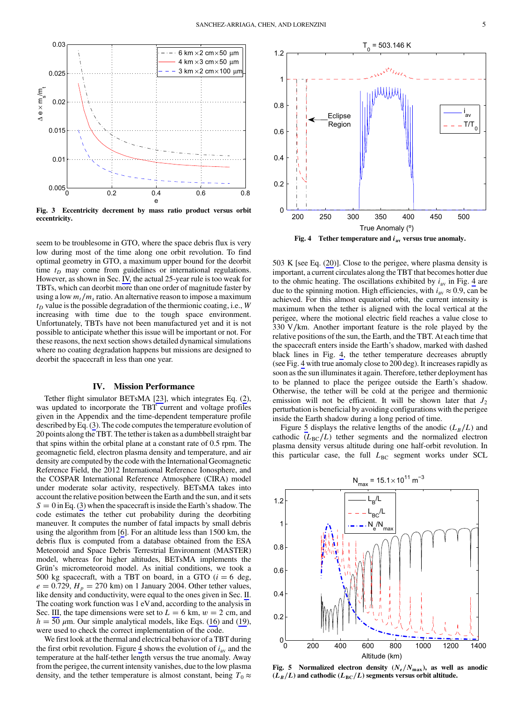<span id="page-5-0"></span>

Fig. 3 Eccentricity decrement by mass ratio product versus orbit eccentricity.

seem to be troublesome in GTO, where the space debris flux is very low during most of the time along one orbit revolution. To find optimal geometry in GTO, a maximum upper bound for the deorbit time  $t_D$  may come from guidelines or international regulations. However, as shown in Sec. IV, the actual 25-year rule is too weak for TBTs, which can deorbit more than one order of magnitude faster by using a low  $m_t/m_s$  ratio. An alternative reason to impose a maximum  $t_D$  value is the possible degradation of the thermionic coating, i.e., W increasing with time due to the tough space environment. Unfortunately, TBTs have not been manufactured yet and it is not possible to anticipate whether this issue will be important or not. For these reasons, the next section shows detailed dynamical simulations where no coating degradation happens but missions are designed to deorbit the spacecraft in less than one year.

#### IV. Mission Performance

Tether flight simulator BETsMA [[23\]](#page-8-0), which integrates Eq. ([2](#page-2-0)), was updated to incorporate the TBT current and voltage profiles given in the Appendix and the time-dependent temperature profile described by Eq. ([3](#page-3-0)). The code computes the temperature evolution of 20 points along the TBT. The tether is taken as a dumbbell straight bar that spins within the orbital plane at a constant rate of 0.5 rpm. The geomagnetic field, electron plasma density and temperature, and air density are computed by the code with the International Geomagnetic Reference Field, the 2012 International Reference Ionosphere, and the COSPAR International Reference Atmosphere (CIRA) model under moderate solar activity, respectively. BETsMA takes into account the relative position between the Earth and the sun, and it sets  $S = 0$  in Eq. ([3](#page-3-0)) when the spacecraft is inside the Earth's shadow. The code estimates the tether cut probability during the deorbiting maneuver. It computes the number of fatal impacts by small debris using the algorithm from [\[6\]](#page-8-0). For an altitude less than 1500 km, the debris flux is computed from a database obtained from the ESA Meteoroid and Space Debris Terrestrial Environment (MASTER) model, whereas for higher altitudes, BETsMA implements the Grün's micrometeoroid model. As initial conditions, we took a 500 kg spacecraft, with a TBT on board, in a GTO  $(i = 6$  deg,  $e = 0.729$ ,  $H_p = 270$  km) on 1 January 2004. Other tether values, like density and conductivity, were equal to the ones given in Sec. [II](#page-2-0). The coating work function was 1 eV and, according to the analysis in Sec. [III](#page-4-0), the tape dimensions were set to  $L = 6$  km,  $w = 2$  cm, and  $h = 50 \mu$ m. Our simple analytical models, like Eqs. ([16\)](#page-4-0) and [\(19](#page-4-0)), were used to check the correct implementation of the code.

We first look at the thermal and electrical behavior of a TBT during the first orbit revolution. Figure 4 shows the evolution of  $i_{av}$  and the temperature at the half-tether length versus the true anomaly. Away from the perigee, the current intensity vanishes, due to the low plasma density, and the tether temperature is almost constant, being  $T_0 \approx$ 



503 K [see Eq. ([20\)](#page-4-0)]. Close to the perigee, where plasma density is important, a current circulates along the TBT that becomes hotter due to the ohmic heating. The oscillations exhibited by  $i_{av}$  in Fig. 4 are due to the spinning motion. High efficiencies, with  $i_{av} \approx 0.9$ , can be achieved. For this almost equatorial orbit, the current intensity is maximum when the tether is aligned with the local vertical at the perigee, where the motional electric field reaches a value close to 330 V∕km. Another important feature is the role played by the relative positions of the sun, the Earth, and the TBT. At each time that the spacecraft enters inside the Earth's shadow, marked with dashed black lines in Fig. 4, the tether temperature decreases abruptly (see Fig. 4 with true anomaly close to 200 deg). It increases rapidly as soon as the sun illuminates it again. Therefore, tether deployment has to be planned to place the perigee outside the Earth's shadow. Otherwise, the tether will be cold at the perigee and thermionic emission will not be efficient. It will be shown later that  $J_2$ perturbation is beneficial by avoiding configurations with the perigee inside the Earth shadow during a long period of time.

Figure 5 displays the relative lengths of the anodic  $(L_B/L)$  and cathodic  $(L_{BC}/L)$  tether segments and the normalized electron plasma density versus altitude during one half-orbit revolution. In this particular case, the full  $L_{BC}$  segment works under SCL



Fig. 5 Normalized electron density  $(N_e/N_{\text{max}})$ , as well as anodic  $(L_B/L)$  and cathodic  $(L_{BC}/L)$  segments versus orbit altitude.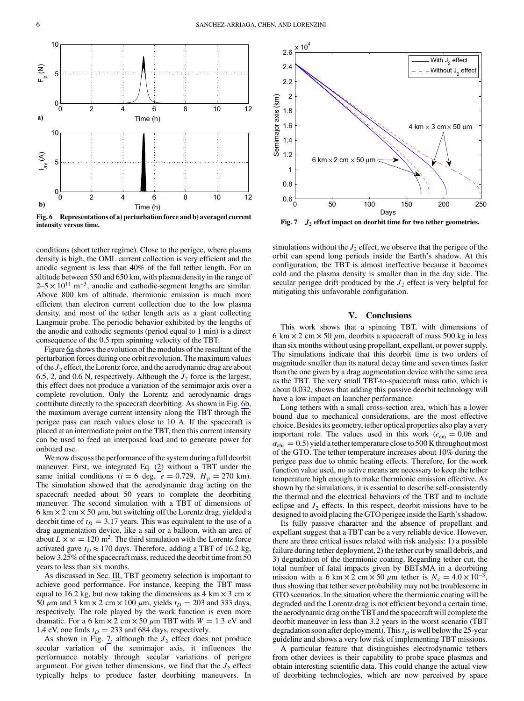<span id="page-6-0"></span>

Fig. 6 Representations of a) perturbation force and b) averaged current intensity versus time.

conditions (short tether regime). Close to the perigee, where plasma density is high, the OML current collection is very efficient and the anodic segment is less than 40% of the full tether length. For an altitude between 550 and 650 km, with plasma density in the range of  $2-5 \times 10^{11}$  m<sup>-3</sup>, anodic and cathodic-segment lengths are similar. Above 800 km of altitude, thermionic emission is much more efficient than electron current collection due to the low plasma density, and most of the tether length acts as a giant collecting Langmuir probe. The periodic behavior exhibited by the lengths of the anodic and cathodic segments (period equal to 1 min) is a direct consequence of the 0.5 rpm spinning velocity of the TBT.

Figure 6a shows the evolution of the modulus of the resultant of the perturbation forces during one orbit revolution. The maximum values of the  $J_2$  effect, the Lorentz force, and the aerodynamic drag are about 6.5, 2, and 0.6 N, respectively. Although the  $J_2$  force is the largest, this effect does not produce a variation of the semimajor axis over a complete revolution. Only the Lorentz and aerodynamic drags contribute directly to the spacecraft deorbiting. As shown in Fig. 6b, the maximum average current intensity along the TBT through the perigee pass can reach values close to 10 A. If the spacecraft is placed at an intermediate point on the TBT, then this current intensity can be used to feed an interposed load and to generate power for onboard use.

We now discuss the performance of the system during a full deorbit maneuver. First, we integrated Eq. [\(2\)](#page-2-0) without a TBT under the same initial conditions ( $i = 6$  deg,  $e = 0.729$ ,  $H_p = 270$  km). The simulation showed that the aerodynamic drag acting on the spacecraft needed about 50 years to complete the deorbiting maneuver. The second simulation with a TBT of dimensions of 6 km  $\times$  2 cm  $\times$  50  $\mu$ m, but switching off the Lorentz drag, yielded a deorbit time of  $t_D = 3.17$  years. This was equivalent to the use of a drag augmentation device, like a sail or a balloon, with an area of about  $L \times w = 120$  m<sup>2</sup>. The third simulation with the Lorentz force activated gave  $t_D \approx 170$  days. Therefore, adding a TBT of 16.2 kg, below 3.25% of the spacecraft mass, reduced the deorbit time from 50 years to less than six months.

As discussed in Sec. [III](#page-4-0), TBT geometry selection is important to achieve good performance. For instance, keeping the TBT mass equal to 16.2 kg, but now taking the dimensions as 4 km  $\times$  3 cm  $\times$ 50  $\mu$ m and 3 km  $\times$  2 cm  $\times$  100  $\mu$ m, yields  $t_D$  = 203 and 333 days, respectively. The role played by the work function is even more dramatic. For a 6 km  $\times$  2 cm  $\times$  50  $\mu$ m TBT with  $W = 1.3$  eV and 1.4 eV, one finds  $t_D = 233$  and 684 days, respectively.

As shown in Fig. 7, although the  $J_2$  effect does not produce secular variation of the semimajor axis, it influences the performance notably through secular variations of perigee argument. For given tether dimensions, we find that the  $J_2$  effect typically helps to produce faster deorbiting maneuvers. In



Fig.  $7$   $J_2$  effect impact on deorbit time for two tether geometries.

simulations without the  $J_2$  effect, we observe that the perigee of the orbit can spend long periods inside the Earth's shadow. At this configuration, the TBT is almost ineffective because it becomes cold and the plasma density is smaller than in the day side. The secular perigee drift produced by the  $J_2$  effect is very helpful for mitigating this unfavorable configuration.

### V. Conclusions

This work shows that a spinning TBT, with dimensions of 6 km  $\times$  2 cm  $\times$  50  $\mu$ m, deorbits a spacecraft of mass 500 kg in less than six months without using propellant, expellant, or power supply. The simulations indicate that this deorbit time is two orders of magnitude smaller than its natural decay time and seven times faster than the one given by a drag augmentation device with the same area as the TBT. The very small TBT-to-spacecraft mass ratio, which is about 0.032, shows that adding this passive deorbit technology will have a low impact on launcher performance.

Long tethers with a small cross-section area, which has a lower bound due to mechanical considerations, are the most effective choice. Besides its geometry, tether optical properties also play a very important role. The values used in this work ( $\epsilon_{em} = 0.06$  and  $\alpha_{\text{abs}} = 0.5$ ) yield a tether temperature close to 500 K throughout most of the GTO. The tether temperature increases about 10% during the perigee pass due to ohmic heating effects. Therefore, for the work function value used, no active means are necessary to keep the tether temperature high enough to make thermionic emission effective. As shown by the simulations, it is essential to describe self-consistently the thermal and the electrical behaviors of the TBT and to include eclipse and  $J_2$  effects. In this respect, deorbit missions have to be designed to avoid placing the GTO perigee inside the Earth's shadow.

Its fully passive character and the absence of propellant and expellant suggest that a TBT can be a very reliable device. However, there are three critical issues related with risk analysis: 1) a possible failure during tether deployment, 2) the tether cut by small debris, and 3) degradation of the thermionic coating. Regarding tether cut, the total number of fatal impacts given by BETsMA in a deorbiting mission with a 6 km  $\times$  2 cm  $\times$  50  $\mu$ m tether is  $N_c = 4.0 \times 10^{-3}$ , thus showing that tether sever probability may not be troublesome in GTO scenarios. In the situation where the thermionic coating will be degraded and the Lorentz drag is not efficient beyond a certain time, the aerodynamic drag on the TBTand the spacecraft will complete the deorbit maneuver in less than 3.2 years in the worst scenario (TBT degradation soon after deployment). This  $t<sub>D</sub>$  is well below the 25-year guideline and shows a very low risk of implementing TBT missions.

A particular feature that distinguishes electrodynamic tethers from other devices is their capability to probe space plasmas and obtain interesting scientific data. This could change the actual view of deorbiting technologies, which are now perceived by space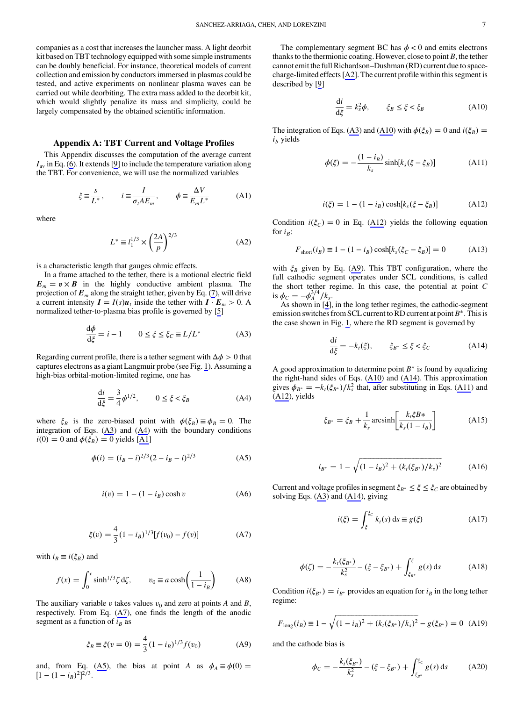<span id="page-7-0"></span>companies as a cost that increases the launcher mass. A light deorbit kit based on TBT technology equipped with some simple instruments can be doubly beneficial. For instance, theoretical models of current collection and emission by conductors immersed in plasmas could be tested, and active experiments on nonlinear plasma waves can be carried out while deorbiting. The extra mass added to the deorbit kit, which would slightly penalize its mass and simplicity, could be largely compensated by the obtained scientific information.

# Appendix A: TBT Current and Voltage Profiles

This Appendix discusses the computation of the average current  $I<sub>av</sub>$  in Eq. [\(6\)](#page-3-0). It extends [[9](#page-8-0)] to include the temperature variation along the TBT. For convenience, we will use the normalized variables

$$
\xi \equiv \frac{s}{L^*}, \qquad i \equiv \frac{I}{\sigma_t A E_m}, \qquad \phi \equiv \frac{\Delta V}{E_m L^*} \tag{A1}
$$

where

$$
L^* \equiv l_1^{1/3} \times \left(\frac{2A}{p}\right)^{2/3} \tag{A2}
$$

is a characteristic length that gauges ohmic effects.

In a frame attached to the tether, there is a motional electric field  $E_m = v \times B$  in the highly conductive ambient plasma. The projection of  $E_m$  along the straight tether, given by Eq. ([7](#page-3-0)), will drive a current intensity  $I = I(s)u_t$  inside the tether with  $I \cdot E_m > 0$ . A normalized tether-to-plasma bias profile is governed by [\[5\]](#page-8-0)

$$
\frac{\mathrm{d}\phi}{\mathrm{d}\xi} = i - 1 \qquad 0 \le \xi \le \xi_C \equiv L/L^* \tag{A3}
$$

Regarding current profile, there is a tether segment with  $\Delta \phi > 0$  that captures electrons as a giant Langmuir probe (see Fig. [1](#page-3-0)). Assuming a high-bias orbital-motion-limited regime, one has

$$
\frac{di}{d\xi} = \frac{3}{4}\phi^{1/2}, \qquad 0 \le \xi < \xi_B
$$
 (A4)

where  $\xi_B$  is the zero-biased point with  $\phi(\xi_B) \equiv \phi_B = 0$ . The integration of Eqs. (A3) and (A4) with the boundary conditions  $i(0) = 0$  and  $\phi(\xi_B) = 0$  yields [\[A1](#page-8-0)]

$$
\phi(i) = (i_B - i)^{2/3} (2 - i_B - i)^{2/3}
$$
 (A5)

$$
i(v) = 1 - (1 - i_B)\cosh v \tag{A6}
$$

$$
\xi(v) = \frac{4}{3}(1 - i_B)^{1/3}[f(v_0) - f(v)]
$$
 (A7)

with  $i_B \equiv i(\xi_B)$  and

$$
f(x) = \int_0^x \sinh^{1/3}\zeta \,d\zeta, \qquad v_0 \equiv a\cosh\left(\frac{1}{1 - i_B}\right) \tag{A8}
$$

The auxiliary variable v takes values  $v_0$  and zero at points A and B, respectively. From Eq. (A7), one finds the length of the anodic segment as a function of  $i_B$  as

$$
\xi_B \equiv \xi(v=0) = \frac{4}{3}(1 - i_B)^{1/3} f(v_0)
$$
 (A9)

and, from Eq. (A5), the bias at point A as  $\phi_A \equiv \phi(0) = [1 - (1 - i_0)^2]^{2/3}$  $[1-(1-i_B)^2]^{2/3}.$ 

The complementary segment BC has  $\phi < 0$  and emits electrons thanks to the thermionic coating. However, close to point  $B$ , the tether cannot emit the full Richardson–Dushman (RD) current due to spacecharge-limited effects [\[A2\]](#page-8-0). The current profile within this segment is described by [[9](#page-8-0)]

$$
\frac{\mathrm{d}i}{\mathrm{d}\xi} = k_s^2 \phi, \qquad \xi_B \le \xi < \xi_B \tag{A10}
$$

The integration of Eqs. (A3) and (A10) with  $\phi(\xi_B) = 0$  and  $i(\xi_B) = 0$  $i<sub>b</sub>$  yields

$$
\phi(\xi) = -\frac{(1 - i_B)}{k_s} \sinh[k_s(\xi - \xi_B)] \tag{A11}
$$

$$
i(\xi) = 1 - (1 - i_B) \cosh[k_s(\xi - \xi_B)]
$$
 (A12)

Condition  $i(\xi_C) = 0$  in Eq. (A12) yields the following equation for  $i_B$ :

$$
F_{\text{short}}(i_B) \equiv 1 - (1 - i_B) \cosh[k_s(\xi_C - \xi_B)] = 0 \tag{A13}
$$

with  $\xi_B$  given by Eq. (A9). This TBT configuration, where the full cathodic segment operates under SCL conditions, is called the short tether regime. In this case, the potential at point C is  $\phi_C = -\phi_A^{3/4}/k_s$ .<br>As shown in [4]

As shown in [[4](#page-8-0)], in the long tether regimes, the cathodic-segment emission switches from SCL current to RD current at point  $B^*$ . This is the case shown in Fig. [1](#page-3-0), where the RD segment is governed by

$$
\frac{\mathrm{d}i}{\mathrm{d}\xi} = -k_t(\xi), \qquad \xi_{B^*} \le \xi < \xi_C \tag{A14}
$$

A good approximation to determine point  $B^*$  is found by equalizing the right-hand sides of Eqs. (A10) and (A14). This approximation gives  $\phi_{B^*} = -k_t(\xi_{B^*})/k_s^2$  that, after substituting in Eqs. (A11) and (A12) vields (A12), yields

$$
\xi_{B^*} = \xi_B + \frac{1}{k_s} \operatorname{arcsinh} \left[ \frac{k_t \xi B^*}{k_s (1 - i_B)} \right] \tag{A15}
$$

$$
i_{B^*} = 1 - \sqrt{(1 - i_B)^2 + (k_t(\xi_{B^*})/k_s)^2}
$$
 (A16)

Current and voltage profiles in segment  $\xi_{B^*} \leq \xi \leq \xi_C$  are obtained by solving Eqs. (A3) and (A14), giving

$$
i(\xi) = \int_{\xi}^{\xi_C} k_t(s) \, \mathrm{d}s \equiv g(\xi) \tag{A17}
$$

$$
\phi(\zeta) = -\frac{k_t(\xi_{B^*})}{k_s^2} - (\xi - \xi_{B^*}) + \int_{\xi_{B^*}}^{\xi} g(s) \, ds \tag{A18}
$$

Condition  $i(\xi_{B^*}) = i_{B^*}$  provides an equation for  $i_B$  in the long tether regime:

$$
F_{\text{long}}(i_B) \equiv 1 - \sqrt{(1 - i_B)^2 + (k_t(\xi_{B^*})/k_s)^2} - g(\xi_{B^*}) = 0
$$
 (A19)

and the cathode bias is

$$
\phi_C = -\frac{k_t(\xi_{B^*})}{k_s^2} - (\xi - \xi_{B^*}) + \int_{\xi_{B^*}}^{\xi_C} g(s) \, ds \tag{A20}
$$